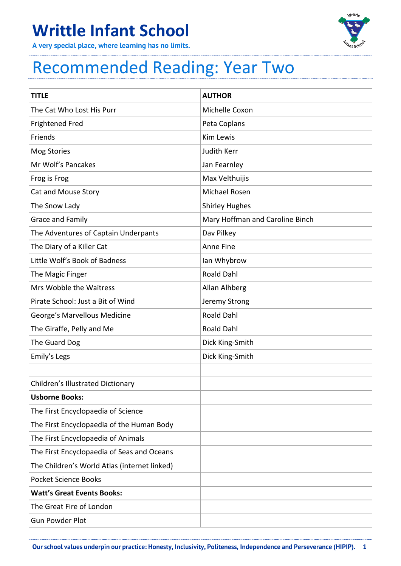## **Writtle Infant School**

**A very special place, where learning has no limits.**



## Recommended Reading: Year Two

| <b>TITLE</b>                                 | <b>AUTHOR</b>                   |
|----------------------------------------------|---------------------------------|
| The Cat Who Lost His Purr                    | Michelle Coxon                  |
| <b>Frightened Fred</b>                       | Peta Coplans                    |
| Friends                                      | <b>Kim Lewis</b>                |
| <b>Mog Stories</b>                           | Judith Kerr                     |
| Mr Wolf's Pancakes                           | Jan Fearnley                    |
| Frog is Frog                                 | Max Velthuijis                  |
| Cat and Mouse Story                          | Michael Rosen                   |
| The Snow Lady                                | <b>Shirley Hughes</b>           |
| Grace and Family                             | Mary Hoffman and Caroline Binch |
| The Adventures of Captain Underpants         | Dav Pilkey                      |
| The Diary of a Killer Cat                    | Anne Fine                       |
| Little Wolf's Book of Badness                | Ian Whybrow                     |
| The Magic Finger                             | <b>Roald Dahl</b>               |
| Mrs Wobble the Waitress                      | Allan Alhberg                   |
| Pirate School: Just a Bit of Wind            | Jeremy Strong                   |
| George's Marvellous Medicine                 | <b>Roald Dahl</b>               |
| The Giraffe, Pelly and Me                    | Roald Dahl                      |
| The Guard Dog                                | Dick King-Smith                 |
| Emily's Legs                                 | Dick King-Smith                 |
|                                              |                                 |
| Children's Illustrated Dictionary            |                                 |
| <b>Usborne Books:</b>                        |                                 |
| The First Encyclopaedia of Science           |                                 |
| The First Encyclopaedia of the Human Body    |                                 |
| The First Encyclopaedia of Animals           |                                 |
| The First Encyclopaedia of Seas and Oceans   |                                 |
| The Children's World Atlas (internet linked) |                                 |
| <b>Pocket Science Books</b>                  |                                 |
| <b>Watt's Great Events Books:</b>            |                                 |
| The Great Fire of London                     |                                 |
| <b>Gun Powder Plot</b>                       |                                 |